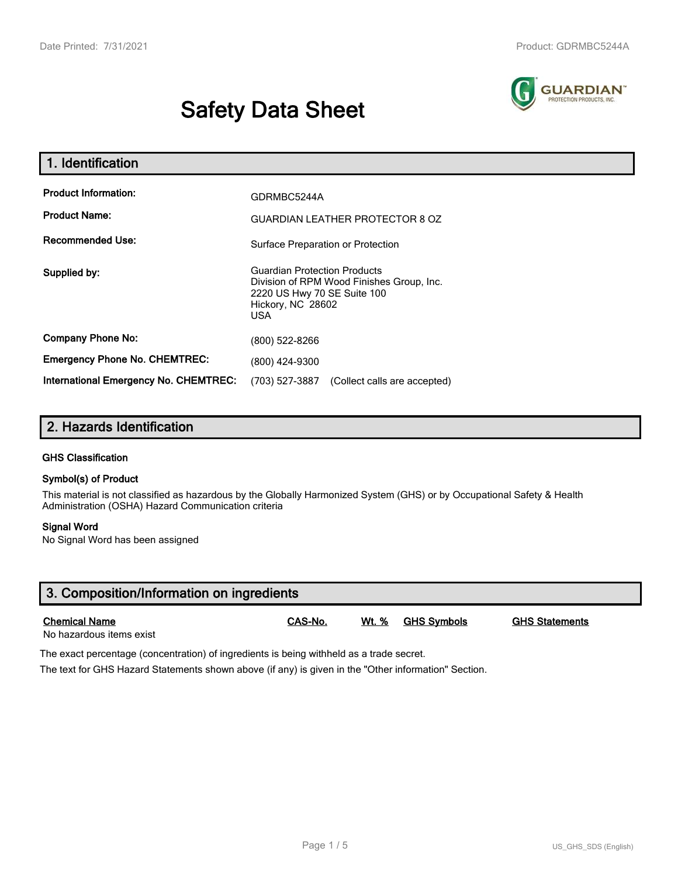# **Safety Data Sheet**



| 1. Identification                                   |                                                                                                                                                    |  |  |  |
|-----------------------------------------------------|----------------------------------------------------------------------------------------------------------------------------------------------------|--|--|--|
| <b>Product Information:</b><br><b>Product Name:</b> | GDRMBC5244A<br><b>GUARDIAN LEATHER PROTECTOR 8 OZ</b>                                                                                              |  |  |  |
| <b>Recommended Use:</b>                             | Surface Preparation or Protection                                                                                                                  |  |  |  |
| Supplied by:                                        | <b>Guardian Protection Products</b><br>Division of RPM Wood Finishes Group, Inc.<br>2220 US Hwy 70 SE Suite 100<br>Hickory, NC 28602<br><b>USA</b> |  |  |  |
| <b>Company Phone No:</b>                            | (800) 522-8266                                                                                                                                     |  |  |  |
| <b>Emergency Phone No. CHEMTREC:</b>                | (800) 424-9300                                                                                                                                     |  |  |  |
| <b>International Emergency No. CHEMTREC:</b>        | (703) 527-3887<br>(Collect calls are accepted)                                                                                                     |  |  |  |

# **2. Hazards Identification**

#### **GHS Classification**

#### **Symbol(s) of Product**

This material is not classified as hazardous by the Globally Harmonized System (GHS) or by Occupational Safety & Health Administration (OSHA) Hazard Communication criteria

#### **Signal Word**

No Signal Word has been assigned

| 3. Composition/Information on ingredients        |         |       |             |                       |  |
|--------------------------------------------------|---------|-------|-------------|-----------------------|--|
| <b>Chemical Name</b><br>No hazardous items exist | CAS-No. | Wt. % | GHS Symbols | <b>GHS Statements</b> |  |

The exact percentage (concentration) of ingredients is being withheld as a trade secret.

The text for GHS Hazard Statements shown above (if any) is given in the "Other information" Section.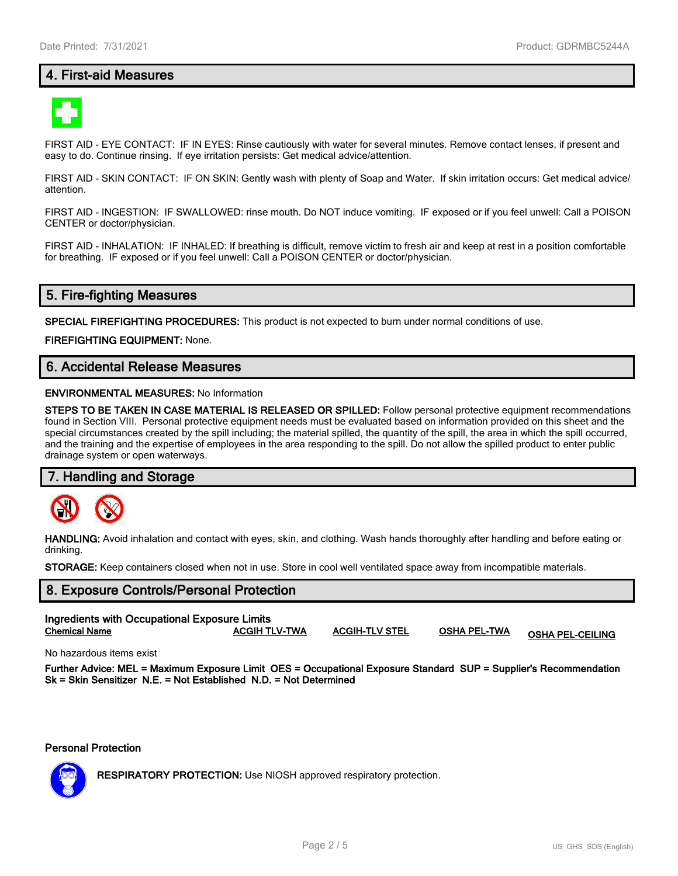## **4. First-aid Measures**



FIRST AID - EYE CONTACT: IF IN EYES: Rinse cautiously with water for several minutes. Remove contact lenses, if present and easy to do. Continue rinsing. If eye irritation persists: Get medical advice/attention.

FIRST AID - SKIN CONTACT: IF ON SKIN: Gently wash with plenty of Soap and Water. If skin irritation occurs: Get medical advice/ attention.

FIRST AID - INGESTION: IF SWALLOWED: rinse mouth. Do NOT induce vomiting. IF exposed or if you feel unwell: Call a POISON CENTER or doctor/physician.

FIRST AID - INHALATION: IF INHALED: If breathing is difficult, remove victim to fresh air and keep at rest in a position comfortable for breathing. IF exposed or if you feel unwell: Call a POISON CENTER or doctor/physician.

## **5. Fire-fighting Measures**

**SPECIAL FIREFIGHTING PROCEDURES:** This product is not expected to burn under normal conditions of use.

**FIREFIGHTING EQUIPMENT:** None.

## **6. Accidental Release Measures**

#### **ENVIRONMENTAL MEASURES:** No Information

**STEPS TO BE TAKEN IN CASE MATERIAL IS RELEASED OR SPILLED:** Follow personal protective equipment recommendations found in Section VIII. Personal protective equipment needs must be evaluated based on information provided on this sheet and the special circumstances created by the spill including; the material spilled, the quantity of the spill, the area in which the spill occurred, and the training and the expertise of employees in the area responding to the spill. Do not allow the spilled product to enter public drainage system or open waterways.

#### **7. Handling and Storage**



**HANDLING:** Avoid inhalation and contact with eyes, skin, and clothing. Wash hands thoroughly after handling and before eating or drinking.

**STORAGE:** Keep containers closed when not in use. Store in cool well ventilated space away from incompatible materials.

# **8. Exposure Controls/Personal Protection Ingredients with Occupational Exposure Limits Chemical Name ACGIH TLV-TWA ACGIH-TLV STEL OSHA PEL-TWA OSHA PEL-CEILING**

No hazardous items exist

**Further Advice: MEL = Maximum Exposure Limit OES = Occupational Exposure Standard SUP = Supplier's Recommendation Sk = Skin Sensitizer N.E. = Not Established N.D. = Not Determined**

**Personal Protection**



**RESPIRATORY PROTECTION:** Use NIOSH approved respiratory protection.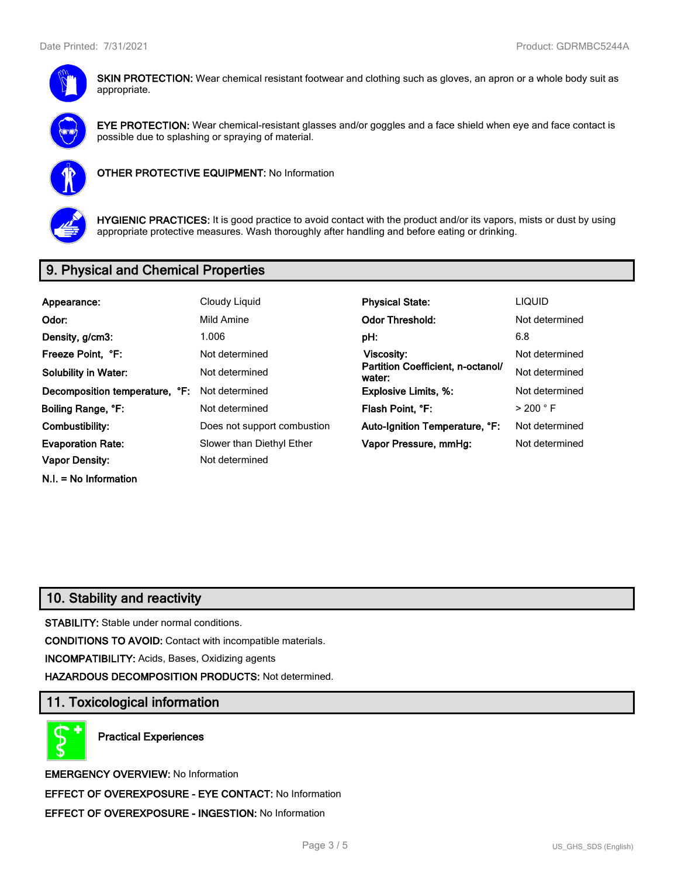

**SKIN PROTECTION:** Wear chemical resistant footwear and clothing such as gloves, an apron or a whole body suit as appropriate.



**EYE PROTECTION:** Wear chemical-resistant glasses and/or goggles and a face shield when eye and face contact is possible due to splashing or spraying of material.



**OTHER PROTECTIVE EQUIPMENT:** No Information



**HYGIENIC PRACTICES:** It is good practice to avoid contact with the product and/or its vapors, mists or dust by using appropriate protective measures. Wash thoroughly after handling and before eating or drinking.

# **9. Physical and Chemical Properties**

| Appearance:                    | Cloudy Liquid                                                 | <b>Physical State:</b>         | <b>LIQUID</b>        |
|--------------------------------|---------------------------------------------------------------|--------------------------------|----------------------|
| Odor:                          | Mild Amine                                                    | <b>Odor Threshold:</b>         | Not determined       |
| Density, g/cm3:                | 1.006                                                         | pH:                            | 6.8                  |
| Freeze Point, °F:              | Not determined                                                | Viscosity:                     | Not determined       |
| <b>Solubility in Water:</b>    | Partition Coefficient, n-octanol/<br>Not determined<br>water: |                                | Not determined       |
| Decomposition temperature, °F: | Not determined                                                | <b>Explosive Limits, %:</b>    | Not determined       |
| Boiling Range, °F:             | Not determined                                                | Flash Point. °F:               | $>$ 200 $^{\circ}$ F |
| Combustibility:                | Does not support combustion                                   | Auto-Ignition Temperature, °F: | Not determined       |
| <b>Evaporation Rate:</b>       | Slower than Diethyl Ether                                     | Vapor Pressure, mmHg:          | Not determined       |
| Vapor Density:                 | Not determined                                                |                                |                      |
| $N.I. = No Information$        |                                                               |                                |                      |

# **10. Stability and reactivity**

**STABILITY:** Stable under normal conditions.

**CONDITIONS TO AVOID:** Contact with incompatible materials.

**INCOMPATIBILITY:** Acids, Bases, Oxidizing agents

**HAZARDOUS DECOMPOSITION PRODUCTS:** Not determined.

## **11. Toxicological information**

**Practical Experiences**

**EMERGENCY OVERVIEW:** No Information **EFFECT OF OVEREXPOSURE - EYE CONTACT:** No Information **EFFECT OF OVEREXPOSURE - INGESTION:** No Information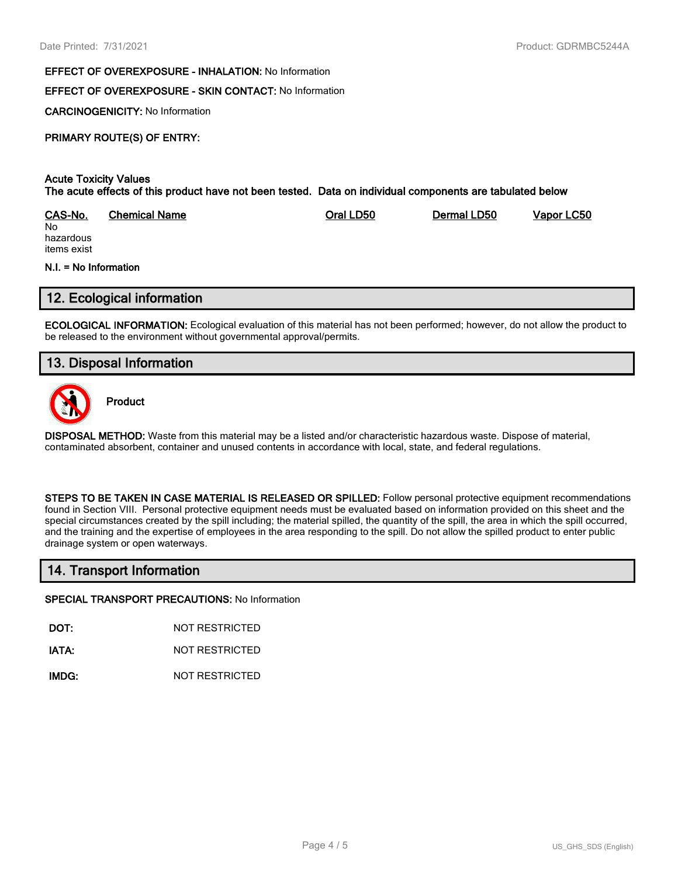#### **EFFECT OF OVEREXPOSURE - INHALATION:** No Information

## **EFFECT OF OVEREXPOSURE - SKIN CONTACT:** No Information

**CARCINOGENICITY:** No Information

## **PRIMARY ROUTE(S) OF ENTRY:**

#### **Acute Toxicity Values The acute effects of this product have not been tested. Data on individual components are tabulated below**

| CAS-No.   | <b>Chemical Name</b> | Oral LD50 | Dermal LD50 | Vapor LC50 |
|-----------|----------------------|-----------|-------------|------------|
| No        |                      |           |             |            |
| hazardous |                      |           |             |            |

hazardous items exist

#### **N.I. = No Information**

## **12. Ecological information**

**ECOLOGICAL INFORMATION:** Ecological evaluation of this material has not been performed; however, do not allow the product to be released to the environment without governmental approval/permits.

## **13. Disposal Information**



**Product**

**DISPOSAL METHOD:** Waste from this material may be a listed and/or characteristic hazardous waste. Dispose of material, contaminated absorbent, container and unused contents in accordance with local, state, and federal regulations.

**STEPS TO BE TAKEN IN CASE MATERIAL IS RELEASED OR SPILLED:** Follow personal protective equipment recommendations found in Section VIII. Personal protective equipment needs must be evaluated based on information provided on this sheet and the special circumstances created by the spill including; the material spilled, the quantity of the spill, the area in which the spill occurred, and the training and the expertise of employees in the area responding to the spill. Do not allow the spilled product to enter public drainage system or open waterways.

## **14. Transport Information**

#### **SPECIAL TRANSPORT PRECAUTIONS:** No Information

**DOT:** NOT RESTRICTED

**IATA:** NOT RESTRICTED

**IMDG:** NOT RESTRICTED